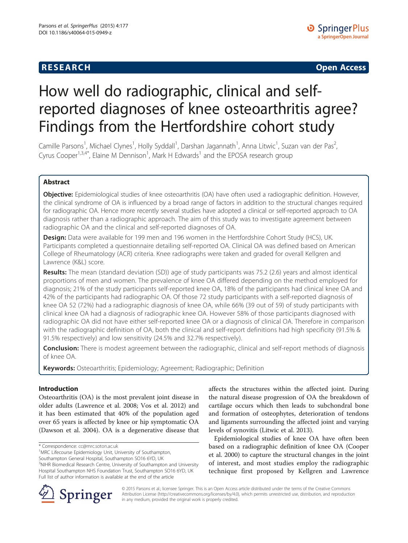**RESEARCH CHINESE ARCH CHINESE ARCH CHINESE ARCH <b>CHINESE ARCH** 

# How well do radiographic, clinical and selfreported diagnoses of knee osteoarthritis agree? Findings from the Hertfordshire cohort study

Camille Parsons<sup>1</sup>, Michael Clynes<sup>1</sup>, Holly Syddall<sup>1</sup>, Darshan Jagannath<sup>1</sup>, Anna Litwic<sup>1</sup>, Suzan van der Pas<sup>2</sup> , Cyrus Cooper<sup>1,3,4\*</sup>, Elaine M Dennison<sup>1</sup>, Mark H Edwards<sup>1</sup> and the EPOSA research group

# Abstract

Objective: Epidemiological studies of knee osteoarthritis (OA) have often used a radiographic definition. However, the clinical syndrome of OA is influenced by a broad range of factors in addition to the structural changes required for radiographic OA. Hence more recently several studies have adopted a clinical or self-reported approach to OA diagnosis rather than a radiographic approach. The aim of this study was to investigate agreement between radiographic OA and the clinical and self-reported diagnoses of OA.

Design: Data were available for 199 men and 196 women in the Hertfordshire Cohort Study (HCS), UK. Participants completed a questionnaire detailing self-reported OA. Clinical OA was defined based on American College of Rheumatology (ACR) criteria. Knee radiographs were taken and graded for overall Kellgren and Lawrence (K&L) score.

Results: The mean (standard deviation (SD)) age of study participants was 75.2 (2.6) years and almost identical proportions of men and women. The prevalence of knee OA differed depending on the method employed for diagnosis; 21% of the study participants self-reported knee OA, 18% of the participants had clinical knee OA and 42% of the participants had radiographic OA. Of those 72 study participants with a self-reported diagnosis of knee OA 52 (72%) had a radiographic diagnosis of knee OA, while 66% (39 out of 59) of study participants with clinical knee OA had a diagnosis of radiographic knee OA. However 58% of those participants diagnosed with radiographic OA did not have either self-reported knee OA or a diagnosis of clinical OA. Therefore in comparison with the radiographic definition of OA, both the clinical and self-report definitions had high specificity (91.5% & 91.5% respectively) and low sensitivity (24.5% and 32.7% respectively).

Conclusion: There is modest agreement between the radiographic, clinical and self-report methods of diagnosis of knee OA.

Keywords: Osteoarthritis; Epidemiology; Agreement; Radiographic; Definition

# Introduction

Osteoarthritis (OA) is the most prevalent joint disease in older adults (Lawrence et al. [2008;](#page-4-0) Vos et al. [2012\)](#page-4-0) and it has been estimated that 40% of the population aged over 65 years is affected by knee or hip symptomatic OA (Dawson et al. [2004\)](#page-4-0). OA is a degenerative disease that

Southampton General Hospital, Southampton SO16 6YD, UK <sup>3</sup>NIHR Biomedical Research Centre, University of Southampton and University Hospital Southampton NHS Foundation Trust, Southampton SO16 6YD, UK Full list of author information is available at the end of the article

affects the structures within the affected joint. During the natural disease progression of OA the breakdown of cartilage occurs which then leads to subchondral bone and formation of osteophytes, deterioration of tendons and ligaments surrounding the affected joint and varying levels of synovitis (Litwic et al. [2013](#page-4-0)).

Epidemiological studies of knee OA have often been based on a radiographic definition of knee OA (Cooper et al. [2000](#page-4-0)) to capture the structural changes in the joint of interest, and most studies employ the radiographic technique first proposed by Kellgren and Lawrence



© 2015 Parsons et al.; licensee Springer. This is an Open Access article distributed under the terms of the Creative Commons Attribution License [\(http://creativecommons.org/licenses/by/4.0\)](http://creativecommons.org/licenses/by/4.0), which permits unrestricted use, distribution, and reproduction in any medium, provided the original work is properly credited.

<sup>\*</sup> Correspondence: [cc@mrc.soton.ac.uk](mailto:cc@mrc.soton.ac.uk) <sup>1</sup>

<sup>&</sup>lt;sup>1</sup>MRC Lifecourse Epidemiology Unit, University of Southampton,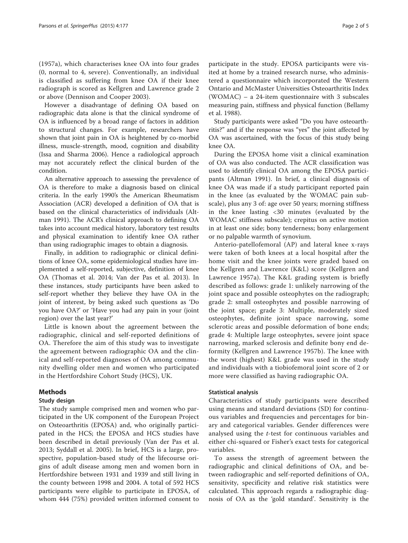([1957a\)](#page-4-0), which characterises knee OA into four grades (0, normal to 4, severe). Conventionally, an individual is classified as suffering from knee OA if their knee radiograph is scored as Kellgren and Lawrence grade 2 or above (Dennison and Cooper [2003\)](#page-4-0).

However a disadvantage of defining OA based on radiographic data alone is that the clinical syndrome of OA is influenced by a broad range of factors in addition to structural changes. For example, researchers have shown that joint pain in OA is heightened by co-morbid illness, muscle-strength, mood, cognition and disability (Issa and Sharma [2006](#page-4-0)). Hence a radiological approach may not accurately reflect the clinical burden of the condition.

An alternative approach to assessing the prevalence of OA is therefore to make a diagnosis based on clinical criteria. In the early 1990's the American Rheumatism Association (ACR) developed a definition of OA that is based on the clinical characteristics of individuals (Altman [1991\)](#page-4-0). The ACR's clinical approach to defining OA takes into account medical history, laboratory test results and physical examination to identify knee OA rather than using radiographic images to obtain a diagnosis.

Finally, in addition to radiographic or clinical definitions of knee OA, some epidemiological studies have implemented a self-reported, subjective, definition of knee OA (Thomas et al. [2014;](#page-4-0) Van der Pas et al. [2013\)](#page-4-0). In these instances, study participants have been asked to self-report whether they believe they have OA in the joint of interest, by being asked such questions as 'Do you have OA?' or 'Have you had any pain in your (joint region) over the last year?'

Little is known about the agreement between the radiographic, clinical and self-reported definitions of OA. Therefore the aim of this study was to investigate the agreement between radiographic OA and the clinical and self-reported diagnoses of OA among community dwelling older men and women who participated in the Hertfordshire Cohort Study (HCS), UK.

# Methods

# Study design

The study sample comprised men and women who participated in the UK component of the European Project on Osteoarthritis (EPOSA) and, who originally participated in the HCS; the EPOSA and HCS studies have been described in detail previously (Van der Pas et al. [2013;](#page-4-0) Syddall et al. [2005\)](#page-4-0). In brief, HCS is a large, prospective, population-based study of the lifecourse origins of adult disease among men and women born in Hertfordshire between 1931 and 1939 and still living in the county between 1998 and 2004. A total of 592 HCS participants were eligible to participate in EPOSA, of whom 444 (75%) provided written informed consent to participate in the study. EPOSA participants were visited at home by a trained research nurse, who adminis-

tered a questionnaire which incorporated the Western Ontario and McMaster Universities Osteoarthritis Index (WOMAC) – a 24-item questionnaire with 3 subscales measuring pain, stiffness and physical function (Bellamy et al. [1988](#page-4-0)).

Study participants were asked "Do you have osteoarthritis?" and if the response was "yes" the joint affected by OA was ascertained, with the focus of this study being knee OA.

During the EPOSA home visit a clinical examination of OA was also conducted. The ACR classification was used to identify clinical OA among the EPOSA participants (Altman [1991\)](#page-4-0). In brief, a clinical diagnosis of knee OA was made if a study participant reported pain in the knee (as evaluated by the WOMAC pain subscale), plus any 3 of: age over 50 years; morning stiffness in the knee lasting <30 minutes (evaluated by the WOMAC stiffness subscale); crepitus on active motion in at least one side; bony tenderness; bony enlargement or no palpable warmth of synovium.

Anterio-patellofemoral (AP) and lateral knee x-rays were taken of both knees at a local hospital after the home visit and the knee joints were graded based on the Kellgren and Lawrence (K&L) score (Kellgren and Lawrence [1957a\)](#page-4-0). The K&L grading system is briefly described as follows: grade 1: unlikely narrowing of the joint space and possible osteophytes on the radiograph; grade 2: small osteophytes and possible narrowing of the joint space; grade 3: Multiple, moderately sized osteophytes, definite joint space narrowing, some sclerotic areas and possible deformation of bone ends; grade 4: Multiple large osteophytes, severe joint space narrowing, marked sclerosis and definite bony end deformity (Kellgren and Lawrence [1957b](#page-4-0)). The knee with the worst (highest) K&L grade was used in the study and individuals with a tiobiofemoral joint score of 2 or more were classified as having radiographic OA.

### Statistical analysis

Characteristics of study participants were described using means and standard deviations (SD) for continuous variables and frequencies and percentages for binary and categorical variables. Gender differences were analysed using the t-test for continuous variables and either chi-squared or Fisher's exact tests for categorical variables.

To assess the strength of agreement between the radiographic and clinical definitions of OA, and between radiographic and self-reported definitions of OA, sensitivity, specificity and relative risk statistics were calculated. This approach regards a radiographic diagnosis of OA as the 'gold standard'. Sensitivity is the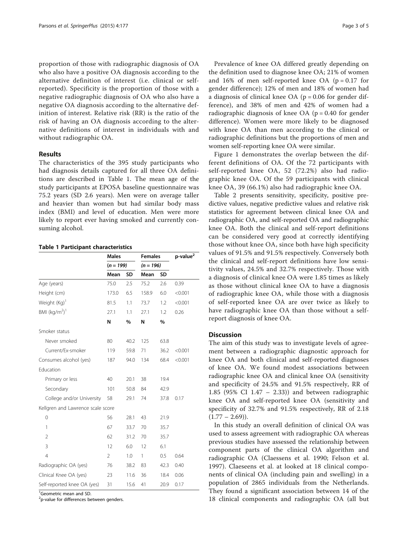proportion of those with radiographic diagnosis of OA who also have a positive OA diagnosis according to the alternative definition of interest (i.e. clinical or selfreported). Specificity is the proportion of those with a negative radiographic diagnosis of OA who also have a negative OA diagnosis according to the alternative definition of interest. Relative risk (RR) is the ratio of the risk of having an OA diagnosis according to the alternative definitions of interest in individuals with and without radiographic OA.

# Results

The characteristics of the 395 study participants who had diagnosis details captured for all three OA definitions are described in Table 1. The mean age of the study participants at EPOSA baseline questionnaire was 75.2 years (SD 2.6 years). Men were on average taller and heavier than women but had similar body mass index (BMI) and level of education. Men were more likely to report ever having smoked and currently consuming alcohol.

|  |  | <b>Table 1 Participant characteristics</b> |
|--|--|--------------------------------------------|
|--|--|--------------------------------------------|

|                                   | <b>Males</b><br>$(n = 199)$ |      | <b>Females</b><br>$(n = 196)$ |           | p-value <sup>2</sup> |
|-----------------------------------|-----------------------------|------|-------------------------------|-----------|----------------------|
|                                   |                             |      |                               |           |                      |
|                                   | Mean                        | SD   | Mean                          | <b>SD</b> |                      |
| Age (years)                       | 75.0                        | 2.5  | 75.2                          | 2.6       | 0.39                 |
| Height (cm)                       | 173.0                       | 6.5  | 158.9                         | 6.0       | < 0.001              |
| Weight (Kg) <sup>1</sup>          | 81.5                        | 1.1  | 73.7                          | 1.2       | < 0.001              |
| BMI $(kq/m2)1$                    | 27.1                        | 1.1  | 27.1                          | 1.2       | 0.26                 |
|                                   | N                           | %    | N                             | %         |                      |
| Smoker status                     |                             |      |                               |           |                      |
| Never smoked                      | 80                          | 40.2 | 125                           | 63.8      |                      |
| Current/Ex-smoker                 | 119                         | 59.8 | 71                            | 36.2      | < 0.001              |
| Consumes alcohol (yes)            | 187                         | 94.0 | 134                           | 68.4      | < 0.001              |
| Education                         |                             |      |                               |           |                      |
| Primary or less                   | 40                          | 20.1 | 38                            | 19.4      |                      |
| Secondary                         | 101                         | 50.8 | 84                            | 42.9      |                      |
| College and/or University         | 58                          | 29.1 | 74                            | 37.8      | 0.17                 |
| Kellgren and Lawrence scale score |                             |      |                               |           |                      |
| 0                                 | 56                          | 28.1 | 43                            | 21.9      |                      |
| 1                                 | 67                          | 33.7 | 70                            | 35.7      |                      |
| $\overline{2}$                    | 62                          | 31.2 | 70                            | 35.7      |                      |
| 3                                 | 12                          | 6.0  | 12                            | 6.1       |                      |
| $\overline{4}$                    | $\overline{2}$              | 1.0  | 1                             | 0.5       | 0.64                 |
| Radiographic OA (yes)             | 76                          | 38.2 | 83                            | 42.3      | 0.40                 |
| Clinical Knee OA (yes)            | 23                          | 11.6 | 36                            | 18.4      | 0.06                 |
| Self-reported knee OA (yes)       | 31                          | 15.6 | 41                            | 20.9      | 0.17                 |

<sup>1</sup>Geometric mean and SD.

<sup>2</sup>p-value for differences between genders.

Prevalence of knee OA differed greatly depending on the definition used to diagnose knee OA; 21% of women and 16% of men self-reported knee OA ( $p = 0.17$  for gender difference); 12% of men and 18% of women had a diagnosis of clinical knee OA ( $p = 0.06$  for gender difference), and 38% of men and 42% of women had a radiographic diagnosis of knee OA ( $p = 0.40$  for gender difference). Women were more likely to be diagnosed with knee OA than men according to the clinical or radiographic definitions but the proportions of men and women self-reporting knee OA were similar.

Figure [1](#page-3-0) demonstrates the overlap between the different definitions of OA. Of the 72 participants with self-reported knee OA, 52 (72.2%) also had radiographic knee OA. Of the 59 participants with clinical knee OA, 39 (66.1%) also had radiographic knee OA.

Table [2](#page-3-0) presents sensitivity, specificity, positive predictive values, negative predictive values and relative risk statistics for agreement between clinical knee OA and radiographic OA, and self-reported OA and radiographic knee OA. Both the clinical and self-report definitions can be considered very good at correctly identifying those without knee OA, since both have high specificity values of 91.5% and 91.5% respectively. Conversely both the clinical and self-report definitions have low sensitivity values, 24.5% and 32.7% respectively. Those with a diagnosis of clinical knee OA were 1.85 times as likely as those without clinical knee OA to have a diagnosis of radiographic knee OA, while those with a diagnosis of self-reported knee OA are over twice as likely to have radiographic knee OA than those without a selfreport diagnosis of knee OA.

#### **Discussion**

The aim of this study was to investigate levels of agreement between a radiographic diagnostic approach for knee OA and both clinical and self-reported diagnoses of knee OA. We found modest associations between radiographic knee OA and clinical knee OA (sensitivity and specificity of 24.5% and 91.5% respectively, RR of 1.85 (95% CI 1.47 – 2.33)) and between radiographic knee OA and self-reported knee OA (sensitivity and specificity of 32.7% and 91.5% respectively, RR of 2.18  $(1.77 - 2.69)$ .

In this study an overall definition of clinical OA was used to assess agreement with radiographic OA whereas previous studies have assessed the relationship between component parts of the clinical OA algorithm and radiographic OA (Claessens et al. [1990](#page-4-0); Felson et al. [1997\)](#page-4-0). Claeseens et al. at looked at 18 clinical components of clinical OA (including pain and swelling) in a population of 2865 individuals from the Netherlands. They found a significant association between 14 of the 18 clinical components and radiographic OA (all but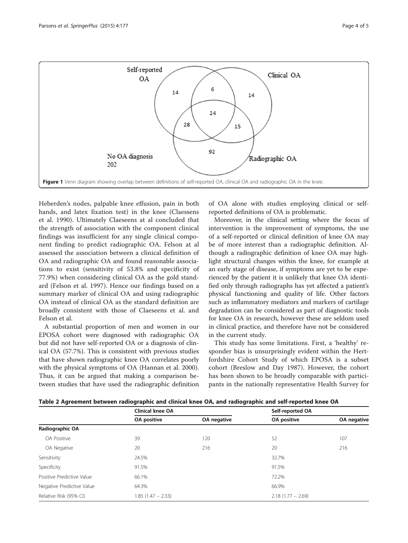<span id="page-3-0"></span>

Heberden's nodes, palpable knee effusion, pain in both hands, and latex fixation test) in the knee (Claessens et al. [1990](#page-4-0)). Ultimately Claeseens at al concluded that the strength of association with the component clinical findings was insufficient for any single clinical component finding to predict radiographic OA. Felson at al assessed the association between a clinical definition of OA and radiographic OA and found reasonable associations to exist (sensitivity of 53.8% and specificity of 77.9%) when considering clinical OA as the gold standard (Felson et al. [1997](#page-4-0)). Hence our findings based on a summary marker of clinical OA and using radiographic OA instead of clinical OA as the standard definition are broadly consistent with those of Claeseens et al. and Felson et al.

A substantial proportion of men and women in our EPOSA cohort were diagnosed with radiographic OA but did not have self-reported OA or a diagnosis of clinical OA (57.7%). This is consistent with previous studies that have shown radiographic knee OA correlates poorly with the physical symptoms of OA (Hannan et al. [2000](#page-4-0)). Thus, it can be argued that making a comparison between studies that have used the radiographic definition of OA alone with studies employing clinical or selfreported definitions of OA is problematic.

Moreover, in the clinical setting where the focus of intervention is the improvement of symptoms, the use of a self-reported or clinical definition of knee OA may be of more interest than a radiographic definition. Although a radiographic definition of knee OA may highlight structural changes within the knee, for example at an early stage of disease, if symptoms are yet to be experienced by the patient it is unlikely that knee OA identified only through radiographs has yet affected a patient's physical functioning and quality of life. Other factors such as inflammatory mediators and markers of cartilage degradation can be considered as part of diagnostic tools for knee OA in research, however these are seldom used in clinical practice, and therefore have not be considered in the current study.

This study has some limitations. First, a 'healthy' responder bias is unsurprisingly evident within the Hertfordshire Cohort Study of which EPOSA is a subset cohort (Breslow and Day [1987](#page-4-0)). However, the cohort has been shown to be broadly comparable with participants in the nationally representative Health Survey for

|  |  |  | Table 2 Agreement between radiographic and clinical knee OA, and radiographic and self-reported knee OA |
|--|--|--|---------------------------------------------------------------------------------------------------------|
|--|--|--|---------------------------------------------------------------------------------------------------------|

|                           | <b>Clinical knee OA</b> |             | Self-reported OA    |             |
|---------------------------|-------------------------|-------------|---------------------|-------------|
|                           | OA positive             | OA negative | OA positive         | OA negative |
| Radiographic OA           |                         |             |                     |             |
| <b>OA Positive</b>        | 39                      | 120         | 52                  | 107         |
| OA Negative               | 20                      | 216         | 20                  | 216         |
| Sensitivity               | 24.5%                   |             | 32.7%               |             |
| Specificity               | 91.5%                   |             | 91.5%               |             |
| Positive Predictive Value | 66.1%                   |             | 72.2%               |             |
| Negative Predictive Value | 64.3%                   |             | 66.9%               |             |
| Relative Risk (95% CI)    | $1.85(1.47 - 2.33)$     |             | $2.18(1.77 - 2.69)$ |             |